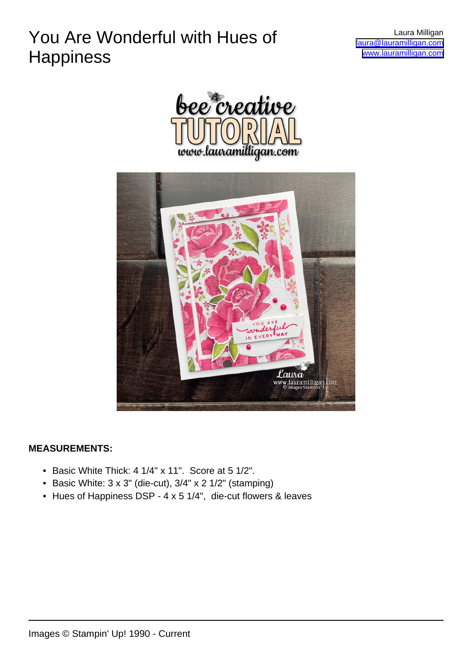## You Are Wonderful with Hues of **Happiness**

Laura Milligan [laura@lauramilligan.com](mailto:laura@lauramilligan.com) [www.lauramilligan.com](http://www.lauramilligan.com)





#### **MEASUREMENTS:**

- Basic White Thick: 4 1/4" x 11". Score at 5 1/2".
- Basic White: 3 x 3" (die-cut), 3/4" x 2 1/2" (stamping)
- Hues of Happiness DSP 4 x 5 1/4", die-cut flowers & leaves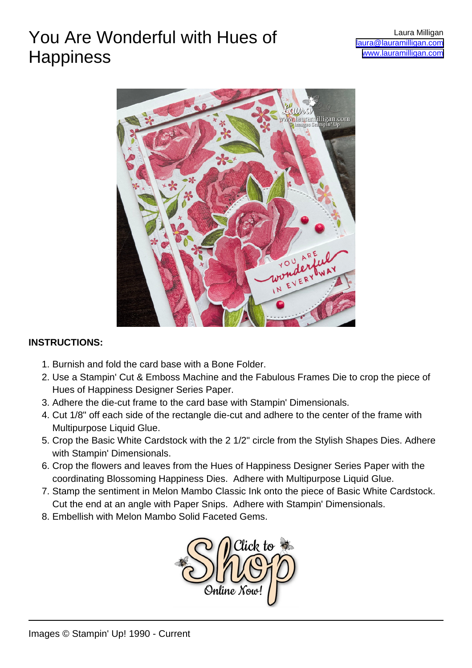## You Are Wonderful with Hues of **Happiness**



#### **INSTRUCTIONS:**

- 1. Burnish and fold the card base with a Bone Folder.
- 2. Use a Stampin' Cut & Emboss Machine and the Fabulous Frames Die to crop the piece of Hues of Happiness Designer Series Paper.
- 3. Adhere the die-cut frame to the card base with Stampin' Dimensionals.
- 4. Cut 1/8" off each side of the rectangle die-cut and adhere to the center of the frame with Multipurpose Liquid Glue.
- 5. Crop the Basic White Cardstock with the 2 1/2" circle from the Stylish Shapes Dies. Adhere with Stampin' Dimensionals.
- 6. Crop the flowers and leaves from the Hues of Happiness Designer Series Paper with the coordinating Blossoming Happiness Dies. Adhere with Multipurpose Liquid Glue.
- 7. Stamp the sentiment in Melon Mambo Classic Ink onto the piece of Basic White Cardstock. Cut the end at an angle with Paper Snips. Adhere with Stampin' Dimensionals.
- 8. Embellish with Melon Mambo Solid Faceted Gems.